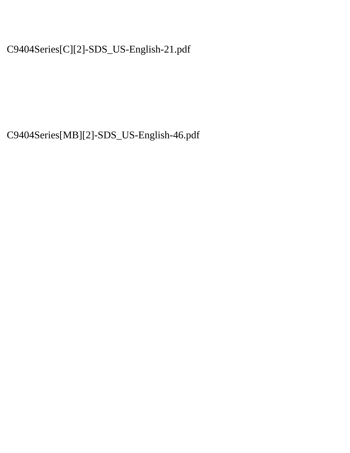C9404Series[C][2]-SDS\_US-English-21.pdf

C9404Series[MB][2]-SDS\_US-English-46.pdf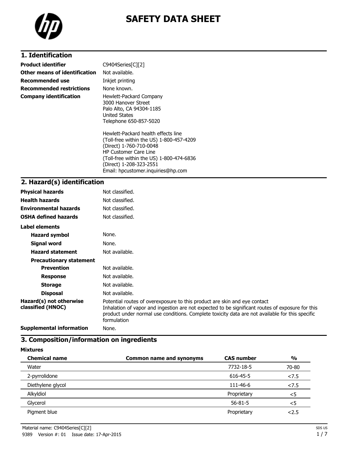

# **SAFETY DATA SHEET**

## **1. Identification**

| <b>Product identifier</b>       | $C9404$ Series $[C][2]$                                                                                                                                                                                                                                 |
|---------------------------------|---------------------------------------------------------------------------------------------------------------------------------------------------------------------------------------------------------------------------------------------------------|
| Other means of identification   | Not available.                                                                                                                                                                                                                                          |
| <b>Recommended use</b>          | Inkjet printing                                                                                                                                                                                                                                         |
| <b>Recommended restrictions</b> | None known.                                                                                                                                                                                                                                             |
| <b>Company identification</b>   | Hewlett-Packard Company<br>3000 Hanover Street<br>Palo Alto, CA 94304-1185<br>United States<br>Telephone 650-857-5020                                                                                                                                   |
|                                 | Hewlett-Packard health effects line<br>(Toll-free within the US) 1-800-457-4209<br>(Direct) 1-760-710-0048<br><b>HP Customer Care Line</b><br>(Toll-free within the US) 1-800-474-6836<br>(Direct) 1-208-323-2551<br>Email: hpcustomer.inguiries@hp.com |

## **2. Hazard(s) identification**

| <b>Physical hazards</b>                      | Not classified.                                                                                                                                                                                                                                                                                 |
|----------------------------------------------|-------------------------------------------------------------------------------------------------------------------------------------------------------------------------------------------------------------------------------------------------------------------------------------------------|
| <b>Health hazards</b>                        | Not classified.                                                                                                                                                                                                                                                                                 |
| <b>Environmental hazards</b>                 | Not classified.                                                                                                                                                                                                                                                                                 |
| <b>OSHA defined hazards</b>                  | Not classified.                                                                                                                                                                                                                                                                                 |
| <b>Label elements</b>                        |                                                                                                                                                                                                                                                                                                 |
| <b>Hazard symbol</b>                         | None.                                                                                                                                                                                                                                                                                           |
| Signal word                                  | None.                                                                                                                                                                                                                                                                                           |
| <b>Hazard statement</b>                      | Not available.                                                                                                                                                                                                                                                                                  |
| <b>Precautionary statement</b>               |                                                                                                                                                                                                                                                                                                 |
| <b>Prevention</b>                            | Not available.                                                                                                                                                                                                                                                                                  |
| <b>Response</b>                              | Not available.                                                                                                                                                                                                                                                                                  |
| <b>Storage</b>                               | Not available.                                                                                                                                                                                                                                                                                  |
| <b>Disposal</b>                              | Not available.                                                                                                                                                                                                                                                                                  |
| Hazard(s) not otherwise<br>classified (HNOC) | Potential routes of overexposure to this product are skin and eye contact<br>Inhalation of vapor and ingestion are not expected to be significant routes of exposure for this<br>product under normal use conditions. Complete toxicity data are not available for this specific<br>formulation |
| <b>Supplemental information</b>              | None.                                                                                                                                                                                                                                                                                           |

## **3. Composition/information on ingredients**

#### **Mixtures**

| <b>Chemical name</b> | <b>Common name and synonyms</b> | <b>CAS number</b> | $\frac{0}{0}$ |
|----------------------|---------------------------------|-------------------|---------------|
| Water                |                                 | 7732-18-5         | 70-80         |
| 2-pyrrolidone        |                                 | 616-45-5          | 27.5          |
| Diethylene glycol    |                                 | 111-46-6          | 27.5          |
| Alkyldiol            |                                 | Proprietary       | $<$ 5         |
| Glycerol             |                                 | $56 - 81 - 5$     | $<$ 5         |
| Pigment blue         |                                 | Proprietary       | 2.5           |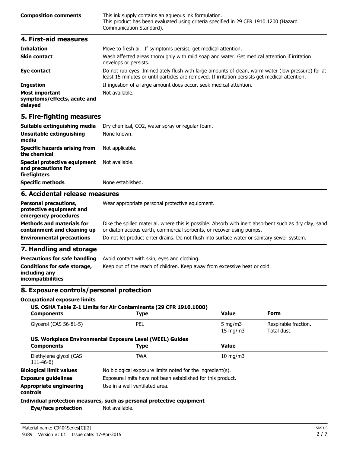| <b>Composition comments</b> | This ink supply contains an aqueous ink formulation.<br>This product has been evaluated using criteria specified in 29 CFR 1910.1200 (Hazard<br>Communication Standard). |
|-----------------------------|--------------------------------------------------------------------------------------------------------------------------------------------------------------------------|
| 4. First-aid measures       |                                                                                                                                                                          |
| <b>Inhalation</b>           | Move to fresh air. If symptoms persist, get medical attention.                                                                                                           |

| .                                                               | There to income and in opiniptomic persist, yet micarcal attention.                                                                                                                                |
|-----------------------------------------------------------------|----------------------------------------------------------------------------------------------------------------------------------------------------------------------------------------------------|
| <b>Skin contact</b>                                             | Wash affected areas thoroughly with mild soap and water. Get medical attention if irritation<br>develops or persists.                                                                              |
| Eye contact                                                     | Do not rub eyes. Immediately flush with large amounts of clean, warm water (low pressure) for at<br>least 15 minutes or until particles are removed. If irritation persists get medical attention. |
| <b>Ingestion</b>                                                | If ingestion of a large amount does occur, seek medical attention.                                                                                                                                 |
| <b>Most important</b><br>symptoms/effects, acute and<br>delayed | Not available.                                                                                                                                                                                     |

#### **5. Fire-fighting measures**

| Suitable extinguishing media                                                     | Dry chemical, CO2, water spray or regular foam.<br>None known.                                                                                                               |  |
|----------------------------------------------------------------------------------|------------------------------------------------------------------------------------------------------------------------------------------------------------------------------|--|
| Unsuitable extinguishing<br>media                                                |                                                                                                                                                                              |  |
| <b>Specific hazards arising from</b><br>the chemical                             | Not applicable.                                                                                                                                                              |  |
| Special protective equipment<br>and precautions for<br>firefighters              | Not available.                                                                                                                                                               |  |
| <b>Specific methods</b>                                                          | None established.                                                                                                                                                            |  |
| 6. Accidental release measures                                                   |                                                                                                                                                                              |  |
| <b>Personal precautions,</b><br>protective equipment and<br>emergency procedures | Wear appropriate personal protective equipment.                                                                                                                              |  |
| <b>Methods and materials for</b><br>containment and cleaning up                  | Dike the spilled material, where this is possible. Absorb with inert absorbent such as dry clay, sand<br>or diatomaceous earth, commercial sorbents, or recover using pumps. |  |
| <b>Environmental precautions</b>                                                 | Do not let product enter drains. Do not flush into surface water or sanitary sewer system.                                                                                   |  |

## **7. Handling and storage**

| <b>Precautions for safe handling</b>                                      | Avoid contact with skin, eyes and clothing.                               |
|---------------------------------------------------------------------------|---------------------------------------------------------------------------|
| Conditions for safe storage,<br>including any<br><i>incompatibilities</i> | Keep out of the reach of children. Keep away from excessive heat or cold. |

#### **8. Exposure controls/personal protection**

**Occupational exposure limits**

#### **US. OSHA Table Z-1 Limits for Air Contaminants (29 CFR 1910.1000)**

| <b>Components</b>                          | <b>Type</b>                                                           | <b>Value</b>      | <b>Form</b>          |
|--------------------------------------------|-----------------------------------------------------------------------|-------------------|----------------------|
| Glycerol (CAS 56-81-5)                     | <b>PEL</b>                                                            | 5 $mq/m3$         | Respirable fraction. |
|                                            |                                                                       | $15 \text{ mg/m}$ | Total dust.          |
|                                            | US. Workplace Environmental Exposure Level (WEEL) Guides              |                   |                      |
| <b>Components</b>                          | Type                                                                  | <b>Value</b>      |                      |
| Diethylene glycol (CAS<br>$111 - 46 - 6$   | TWA                                                                   | $10 \text{ mg/m}$ |                      |
| <b>Biological limit values</b>             | No biological exposure limits noted for the ingredient(s).            |                   |                      |
| <b>Exposure guidelines</b>                 | Exposure limits have not been established for this product.           |                   |                      |
| <b>Appropriate engineering</b><br>controls | Use in a well ventilated area.                                        |                   |                      |
|                                            | Individual protection measures, such as personal protective equipment |                   |                      |
| Eye/face protection                        | Not available.                                                        |                   |                      |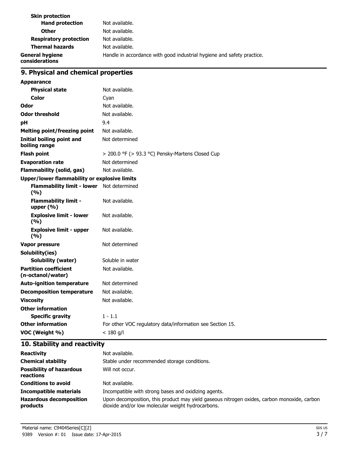| <b>Skin protection</b>                   |                                                                        |
|------------------------------------------|------------------------------------------------------------------------|
| <b>Hand protection</b>                   | Not available.                                                         |
| <b>Other</b>                             | Not available.                                                         |
| <b>Respiratory protection</b>            | Not available.                                                         |
| <b>Thermal hazards</b>                   | Not available.                                                         |
| <b>General hygiene</b><br>considerations | Handle in accordance with good industrial hygiene and safety practice. |

## **9. Physical and chemical properties**

| <b>Appearance</b>                                  |                                                           |
|----------------------------------------------------|-----------------------------------------------------------|
| <b>Physical state</b>                              | Not available.                                            |
| <b>Color</b>                                       | Cyan                                                      |
| Odor                                               | Not available.                                            |
| <b>Odor threshold</b>                              | Not available.                                            |
| pH                                                 | 9.4                                                       |
| <b>Melting point/freezing point</b>                | Not available.                                            |
| <b>Initial boiling point and</b><br>boiling range  | Not determined                                            |
| <b>Flash point</b>                                 | > 200.0 °F (> 93.3 °C) Pensky-Martens Closed Cup          |
| <b>Evaporation rate</b>                            | Not determined                                            |
| <b>Flammability (solid, gas)</b>                   | Not available.                                            |
| Upper/lower flammability or explosive limits       |                                                           |
| Flammability limit - lower Not determined<br>(9/6) |                                                           |
| <b>Flammability limit -</b><br>upper $(% )$        | Not available.                                            |
| <b>Explosive limit - lower</b><br>(%)              | Not available.                                            |
| <b>Explosive limit - upper</b><br>(9/6)            | Not available.                                            |
| Vapor pressure                                     | Not determined                                            |
| Solubility(ies)                                    |                                                           |
| <b>Solubility (water)</b>                          | Soluble in water                                          |
| <b>Partition coefficient</b><br>(n-octanol/water)  | Not available.                                            |
| <b>Auto-ignition temperature</b>                   | Not determined                                            |
| <b>Decomposition temperature</b>                   | Not available.                                            |
| <b>Viscosity</b>                                   | Not available.                                            |
| <b>Other information</b>                           |                                                           |
| <b>Specific gravity</b>                            | $1 - 1.1$                                                 |
| <b>Other information</b>                           | For other VOC regulatory data/information see Section 15. |
| VOC (Weight %)                                     | $< 180$ g/l                                               |

## **10. Stability and reactivity**

| <b>Reactivity</b>                            | Not available.                                                                                                                                   |
|----------------------------------------------|--------------------------------------------------------------------------------------------------------------------------------------------------|
| <b>Chemical stability</b>                    | Stable under recommended storage conditions.                                                                                                     |
| <b>Possibility of hazardous</b><br>reactions | Will not occur.                                                                                                                                  |
| <b>Conditions to avoid</b>                   | Not available.                                                                                                                                   |
| <b>Incompatible materials</b>                | Incompatible with strong bases and oxidizing agents.                                                                                             |
| <b>Hazardous decomposition</b><br>products   | Upon decomposition, this product may yield gaseous nitrogen oxides, carbon monoxide, carbon<br>dioxide and/or low molecular weight hydrocarbons. |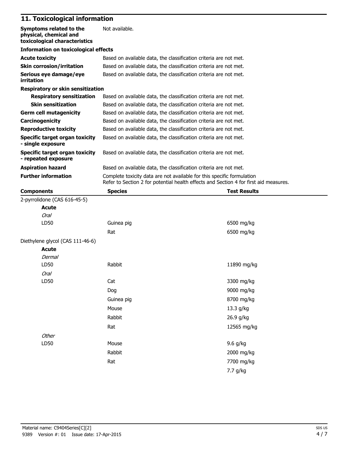## **11. Toxicological information**

| 11. TUXICUIUYICAI IIIIUI IIIAUUII                                                  |                                                                                                                                                                 |                     |  |
|------------------------------------------------------------------------------------|-----------------------------------------------------------------------------------------------------------------------------------------------------------------|---------------------|--|
| Symptoms related to the<br>physical, chemical and<br>toxicological characteristics | Not available.                                                                                                                                                  |                     |  |
| <b>Information on toxicological effects</b>                                        |                                                                                                                                                                 |                     |  |
| <b>Acute toxicity</b>                                                              | Based on available data, the classification criteria are not met.                                                                                               |                     |  |
| <b>Skin corrosion/irritation</b>                                                   | Based on available data, the classification criteria are not met.                                                                                               |                     |  |
| Serious eye damage/eye<br>irritation                                               | Based on available data, the classification criteria are not met.                                                                                               |                     |  |
| Respiratory or skin sensitization                                                  |                                                                                                                                                                 |                     |  |
| <b>Respiratory sensitization</b>                                                   | Based on available data, the classification criteria are not met.                                                                                               |                     |  |
| <b>Skin sensitization</b>                                                          | Based on available data, the classification criteria are not met.                                                                                               |                     |  |
| <b>Germ cell mutagenicity</b>                                                      | Based on available data, the classification criteria are not met.                                                                                               |                     |  |
| Carcinogenicity                                                                    | Based on available data, the classification criteria are not met.                                                                                               |                     |  |
| <b>Reproductive toxicity</b>                                                       | Based on available data, the classification criteria are not met.                                                                                               |                     |  |
| <b>Specific target organ toxicity</b><br>- single exposure                         | Based on available data, the classification criteria are not met.                                                                                               |                     |  |
| Specific target organ toxicity<br>- repeated exposure                              | Based on available data, the classification criteria are not met.                                                                                               |                     |  |
| <b>Aspiration hazard</b>                                                           | Based on available data, the classification criteria are not met.                                                                                               |                     |  |
| <b>Further information</b>                                                         | Complete toxicity data are not available for this specific formulation<br>Refer to Section 2 for potential health effects and Section 4 for first aid measures. |                     |  |
| <b>Components</b>                                                                  | <b>Species</b>                                                                                                                                                  | <b>Test Results</b> |  |
| 2-pyrrolidone (CAS 616-45-5)                                                       |                                                                                                                                                                 |                     |  |
| Acute                                                                              |                                                                                                                                                                 |                     |  |
| Oral                                                                               |                                                                                                                                                                 |                     |  |
| LD50                                                                               | Guinea pig                                                                                                                                                      | 6500 mg/kg          |  |
|                                                                                    | Rat                                                                                                                                                             | 6500 mg/kg          |  |
| Diethylene glycol (CAS 111-46-6)                                                   |                                                                                                                                                                 |                     |  |
| Acute                                                                              |                                                                                                                                                                 |                     |  |
| Dermal                                                                             |                                                                                                                                                                 |                     |  |
| LD50                                                                               | Rabbit                                                                                                                                                          | 11890 mg/kg         |  |
| Oral                                                                               |                                                                                                                                                                 |                     |  |
| LD50                                                                               | Cat                                                                                                                                                             | 3300 mg/kg          |  |
|                                                                                    | Dog                                                                                                                                                             | 9000 mg/kg          |  |
|                                                                                    | Guinea pig                                                                                                                                                      | 8700 mg/kg          |  |
|                                                                                    | Mouse                                                                                                                                                           | 13.3 g/kg           |  |
|                                                                                    | Rabbit                                                                                                                                                          | 26.9 g/kg           |  |
|                                                                                    | Rat                                                                                                                                                             | 12565 mg/kg         |  |
| Other                                                                              |                                                                                                                                                                 |                     |  |
| LD50                                                                               | Mouse                                                                                                                                                           | 9.6 g/kg            |  |
|                                                                                    | Rabbit                                                                                                                                                          | 2000 mg/kg          |  |
|                                                                                    |                                                                                                                                                                 |                     |  |
|                                                                                    | Rat                                                                                                                                                             | 7700 mg/kg          |  |

7.7 g/kg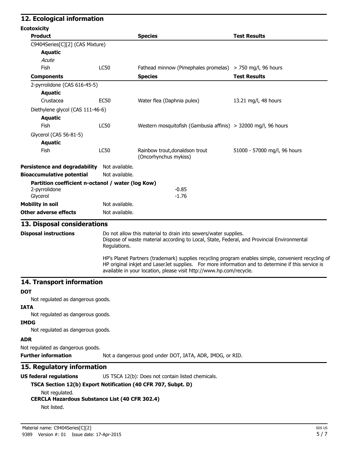### **12. Ecological information Ecotoxicity Product Species Test Results** C9404Series[C][2] (CAS Mixture) **Aquatic Acute** Fish LC50 Fathead minnow (Pimephales promelas) > 750 mg/l, 96 hours **Components Species Species Species Test Results** 2-pyrrolidone (CAS 616-45-5) **Aquatic** Crustacea EC50 Water flea (Daphnia pulex) 13.21 mg/l, 48 hours Diethylene glycol (CAS 111-46-6) **Aquatic** Fish LC50 Western mosquitofish (Gambusia affinis) > 32000 mg/l, 96 hours Glycerol (CAS 56-81-5) **Aquatic** Fish CS0 Rainbow trout,donaldson trout 51000 - 57000 mg/l, 96 hours (Oncorhynchus mykiss) **Persistence and degradability** Not available. **Bioaccumulative potential** Not available. **Partition coefficient n-octanol / water (log Kow)** 2-pyrrolidone -0.85 Glycerol -1.76 **Mobility in soil** Not available. **Other adverse effects** Not available. **13. Disposal considerations Disposal instructions** Do not allow this material to drain into sewers/water supplies. Dispose of waste material according to Local, State, Federal, and Provincial Environmental Regulations. HP's Planet Partners (trademark) supplies recycling program enables simple, convenient recycling of HP original inkjet and LaserJet supplies. For more information and to determine if this service is available in your location, please visit http://www.hp.com/recycle. **14. Transport information DOT** Not regulated as dangerous goods. **IATA** Not regulated as dangerous goods. **IMDG** Not regulated as dangerous goods. **ADR** Not regulated as dangerous goods. **Further information** Not a dangerous good under DOT, IATA, ADR, IMDG, or RID. **15. Regulatory information US federal regulations** US TSCA 12(b): Does not contain listed chemicals. **TSCA Section 12(b) Export Notification (40 CFR 707, Subpt. D)** Not regulated. **CERCLA Hazardous Substance List (40 CFR 302.4)**

Not listed.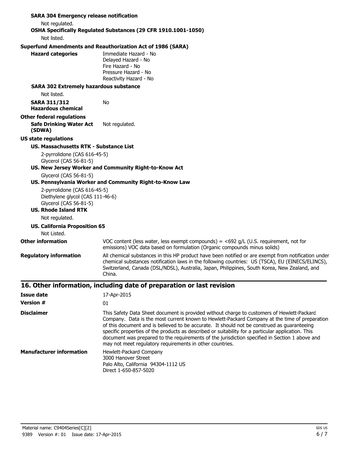| <b>SARA 304 Emergency release notification</b>                                             |                                                                                                                                                                                                                                                                                                                                                                                                                                                                                                                                                                |
|--------------------------------------------------------------------------------------------|----------------------------------------------------------------------------------------------------------------------------------------------------------------------------------------------------------------------------------------------------------------------------------------------------------------------------------------------------------------------------------------------------------------------------------------------------------------------------------------------------------------------------------------------------------------|
| Not regulated.                                                                             | OSHA Specifically Regulated Substances (29 CFR 1910.1001-1050)                                                                                                                                                                                                                                                                                                                                                                                                                                                                                                 |
| Not listed.                                                                                |                                                                                                                                                                                                                                                                                                                                                                                                                                                                                                                                                                |
|                                                                                            | <b>Superfund Amendments and Reauthorization Act of 1986 (SARA)</b>                                                                                                                                                                                                                                                                                                                                                                                                                                                                                             |
| <b>Hazard categories</b>                                                                   | Immediate Hazard - No<br>Delayed Hazard - No<br>Fire Hazard - No<br>Pressure Hazard - No<br>Reactivity Hazard - No                                                                                                                                                                                                                                                                                                                                                                                                                                             |
| <b>SARA 302 Extremely hazardous substance</b><br>Not listed.                               |                                                                                                                                                                                                                                                                                                                                                                                                                                                                                                                                                                |
| <b>SARA 311/312</b><br><b>Hazardous chemical</b>                                           | No                                                                                                                                                                                                                                                                                                                                                                                                                                                                                                                                                             |
| <b>Other federal regulations</b><br><b>Safe Drinking Water Act</b><br>(SDWA)               | Not regulated.                                                                                                                                                                                                                                                                                                                                                                                                                                                                                                                                                 |
| <b>US state regulations</b>                                                                |                                                                                                                                                                                                                                                                                                                                                                                                                                                                                                                                                                |
| US. Massachusetts RTK - Substance List                                                     |                                                                                                                                                                                                                                                                                                                                                                                                                                                                                                                                                                |
| 2-pyrrolidone (CAS 616-45-5)<br>Glycerol (CAS 56-81-5)                                     | US. New Jersey Worker and Community Right-to-Know Act                                                                                                                                                                                                                                                                                                                                                                                                                                                                                                          |
| Glycerol (CAS 56-81-5)                                                                     | US. Pennsylvania Worker and Community Right-to-Know Law                                                                                                                                                                                                                                                                                                                                                                                                                                                                                                        |
| 2-pyrrolidone (CAS 616-45-5)<br>Diethylene glycol (CAS 111-46-6)<br>Glycerol (CAS 56-81-5) |                                                                                                                                                                                                                                                                                                                                                                                                                                                                                                                                                                |
| <b>US. Rhode Island RTK</b>                                                                |                                                                                                                                                                                                                                                                                                                                                                                                                                                                                                                                                                |
| Not regulated.                                                                             |                                                                                                                                                                                                                                                                                                                                                                                                                                                                                                                                                                |
| <b>US. California Proposition 65</b><br>Not Listed.                                        |                                                                                                                                                                                                                                                                                                                                                                                                                                                                                                                                                                |
| <b>Other information</b>                                                                   | VOC content (less water, less exempt compounds) = $<$ 692 g/L (U.S. requirement, not for<br>emissions) VOC data based on formulation (Organic compounds minus solids)                                                                                                                                                                                                                                                                                                                                                                                          |
| <b>Regulatory information</b>                                                              | All chemical substances in this HP product have been notified or are exempt from notification under<br>chemical substances notification laws in the following countries: US (TSCA), EU (EINECS/ELINCS),<br>Switzerland, Canada (DSL/NDSL), Australia, Japan, Philippines, South Korea, New Zealand, and<br>China.                                                                                                                                                                                                                                              |
|                                                                                            | 16. Other information, including date of preparation or last revision                                                                                                                                                                                                                                                                                                                                                                                                                                                                                          |
| <b>Issue date</b>                                                                          | 17-Apr-2015                                                                                                                                                                                                                                                                                                                                                                                                                                                                                                                                                    |
| <b>Version #</b>                                                                           | 01                                                                                                                                                                                                                                                                                                                                                                                                                                                                                                                                                             |
| <b>Disclaimer</b>                                                                          | This Safety Data Sheet document is provided without charge to customers of Hewlett-Packard<br>Company. Data is the most current known to Hewlett-Packard Company at the time of preparation<br>of this document and is believed to be accurate. It should not be construed as guaranteeing<br>specific properties of the products as described or suitability for a particular application. This<br>document was prepared to the requirements of the jurisdiction specified in Section 1 above and<br>may not meet regulatory requirements in other countries. |
| <b>Manufacturer information</b>                                                            | Hewlett-Packard Company                                                                                                                                                                                                                                                                                                                                                                                                                                                                                                                                        |

3000 Hanover Street Palo Alto, California 94304-1112 US Direct 1-650-857-5020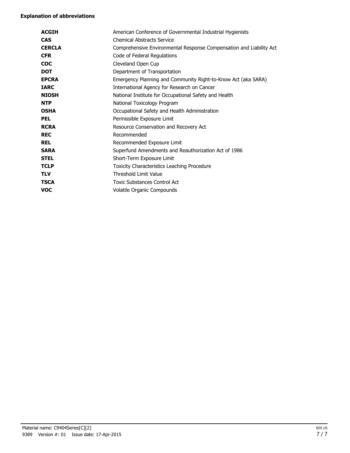#### **Explanation of abbreviations**

| <b>ACGIH</b>  | American Conference of Governmental Industrial Hygienists           |
|---------------|---------------------------------------------------------------------|
| <b>CAS</b>    | <b>Chemical Abstracts Service</b>                                   |
| <b>CERCLA</b> | Comprehensive Environmental Response Compensation and Liability Act |
| <b>CFR</b>    | Code of Federal Regulations                                         |
| <b>COC</b>    | Cleveland Open Cup                                                  |
| <b>DOT</b>    | Department of Transportation                                        |
| <b>EPCRA</b>  | Emergency Planning and Community Right-to-Know Act (aka SARA)       |
| <b>IARC</b>   | International Agency for Research on Cancer                         |
| <b>NIOSH</b>  | National Institute for Occupational Safety and Health               |
| <b>NTP</b>    | National Toxicology Program                                         |
| <b>OSHA</b>   | Occupational Safety and Health Administration                       |
| <b>PEL</b>    | Permissible Exposure Limit                                          |
| <b>RCRA</b>   | Resource Conservation and Recovery Act                              |
| <b>REC</b>    | Recommended                                                         |
| <b>REL</b>    | Recommended Exposure Limit                                          |
| <b>SARA</b>   | Superfund Amendments and Reauthorization Act of 1986                |
| <b>STEL</b>   | Short-Term Exposure Limit                                           |
| <b>TCLP</b>   | Toxicity Characteristics Leaching Procedure                         |
| <b>TLV</b>    | Threshold Limit Value                                               |
| <b>TSCA</b>   | <b>Toxic Substances Control Act</b>                                 |
| <b>VOC</b>    | Volatile Organic Compounds                                          |
|               |                                                                     |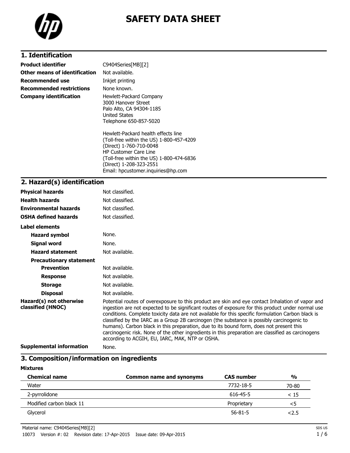

# **SAFETY DATA SHEET**

## **1. Identification**

| <b>Product identifier</b>       | C9404Series[MB][2]                                                                                                                                                                                                                                      |
|---------------------------------|---------------------------------------------------------------------------------------------------------------------------------------------------------------------------------------------------------------------------------------------------------|
| Other means of identification   | Not available.                                                                                                                                                                                                                                          |
| Recommended use                 | Inkjet printing                                                                                                                                                                                                                                         |
| <b>Recommended restrictions</b> | None known.                                                                                                                                                                                                                                             |
| <b>Company identification</b>   | Hewlett-Packard Company<br>3000 Hanover Street<br>Palo Alto, CA 94304-1185<br>United States<br>Telephone 650-857-5020                                                                                                                                   |
|                                 | Hewlett-Packard health effects line<br>(Toll-free within the US) 1-800-457-4209<br>(Direct) 1-760-710-0048<br><b>HP Customer Care Line</b><br>(Toll-free within the US) 1-800-474-6836<br>(Direct) 1-208-323-2551<br>Email: hpcustomer.inguiries@hp.com |

# **2. Hazard(s) identification**

| <b>Physical hazards</b>                      | Not classified.                                                                                                                                                                                                                                                                                                                                                                                                                                                                                                                                                                                                                                                |
|----------------------------------------------|----------------------------------------------------------------------------------------------------------------------------------------------------------------------------------------------------------------------------------------------------------------------------------------------------------------------------------------------------------------------------------------------------------------------------------------------------------------------------------------------------------------------------------------------------------------------------------------------------------------------------------------------------------------|
| <b>Health hazards</b>                        | Not classified.                                                                                                                                                                                                                                                                                                                                                                                                                                                                                                                                                                                                                                                |
| <b>Environmental hazards</b>                 | Not classified.                                                                                                                                                                                                                                                                                                                                                                                                                                                                                                                                                                                                                                                |
| <b>OSHA defined hazards</b>                  | Not classified.                                                                                                                                                                                                                                                                                                                                                                                                                                                                                                                                                                                                                                                |
| Label elements                               |                                                                                                                                                                                                                                                                                                                                                                                                                                                                                                                                                                                                                                                                |
| <b>Hazard symbol</b>                         | None.                                                                                                                                                                                                                                                                                                                                                                                                                                                                                                                                                                                                                                                          |
| <b>Signal word</b>                           | None.                                                                                                                                                                                                                                                                                                                                                                                                                                                                                                                                                                                                                                                          |
| <b>Hazard statement</b>                      | Not available.                                                                                                                                                                                                                                                                                                                                                                                                                                                                                                                                                                                                                                                 |
| <b>Precautionary statement</b>               |                                                                                                                                                                                                                                                                                                                                                                                                                                                                                                                                                                                                                                                                |
| <b>Prevention</b>                            | Not available.                                                                                                                                                                                                                                                                                                                                                                                                                                                                                                                                                                                                                                                 |
| <b>Response</b>                              | Not available.                                                                                                                                                                                                                                                                                                                                                                                                                                                                                                                                                                                                                                                 |
| <b>Storage</b>                               | Not available.                                                                                                                                                                                                                                                                                                                                                                                                                                                                                                                                                                                                                                                 |
| <b>Disposal</b>                              | Not available.                                                                                                                                                                                                                                                                                                                                                                                                                                                                                                                                                                                                                                                 |
| Hazard(s) not otherwise<br>classified (HNOC) | Potential routes of overexposure to this product are skin and eye contact Inhalation of vapor and<br>ingestion are not expected to be significant routes of exposure for this product under normal use<br>conditions. Complete toxicity data are not available for this specific formulation Carbon black is<br>classified by the IARC as a Group 2B carcinogen (the substance is possibly carcinogenic to<br>humans). Carbon black in this preparation, due to its bound form, does not present this<br>carcinogenic risk. None of the other ingredients in this preparation are classified as carcinogens<br>according to ACGIH, EU, IARC, MAK, NTP or OSHA. |
|                                              |                                                                                                                                                                                                                                                                                                                                                                                                                                                                                                                                                                                                                                                                |

**Supplemental information** None.

### **3. Composition/information on ingredients**

#### **Mixtures**

| <b>Chemical name</b>     | Common name and synonyms | <b>CAS number</b> | $\frac{0}{0}$ |
|--------------------------|--------------------------|-------------------|---------------|
| Water                    |                          | 7732-18-5         | 70-80         |
| 2-pyrrolidone            |                          | 616-45-5          | < 15          |
| Modified carbon black 11 |                          | Proprietary       | ל>            |
| Glycerol                 |                          | $56 - 81 - 5$     | 2.5           |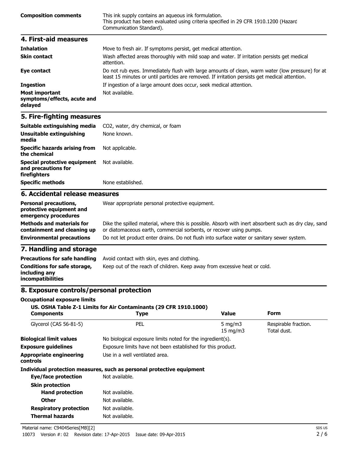| <b>Composition comments</b> | This ink supply contains an aqueous ink formulation.<br>This product has been evaluated using criteria specified in 29 CFR 1910.1200 (Hazard<br>Communication Standard). |
|-----------------------------|--------------------------------------------------------------------------------------------------------------------------------------------------------------------------|
| 4. First-aid measures       |                                                                                                                                                                          |

| <b>Inhalation</b>                                               | Move to fresh air. If symptoms persist, get medical attention.                                                                                                                                     |
|-----------------------------------------------------------------|----------------------------------------------------------------------------------------------------------------------------------------------------------------------------------------------------|
| <b>Skin contact</b>                                             | Wash affected areas thoroughly with mild soap and water. If irritation persists get medical<br>attention.                                                                                          |
| Eye contact                                                     | Do not rub eyes. Immediately flush with large amounts of clean, warm water (low pressure) for at<br>least 15 minutes or until particles are removed. If irritation persists get medical attention. |
| <b>Ingestion</b>                                                | If ingestion of a large amount does occur, seek medical attention.                                                                                                                                 |
| <b>Most important</b><br>symptoms/effects, acute and<br>delayed | Not available.                                                                                                                                                                                     |

#### **5. Fire-fighting measures**

| Suitable extinguishing media                                                     | CO <sub>2</sub> , water, dry chemical, or foam                                                                                                                               |  |
|----------------------------------------------------------------------------------|------------------------------------------------------------------------------------------------------------------------------------------------------------------------------|--|
| Unsuitable extinguishing<br>media                                                | None known.                                                                                                                                                                  |  |
| <b>Specific hazards arising from</b><br>the chemical                             | Not applicable.                                                                                                                                                              |  |
| Special protective equipment<br>and precautions for<br>firefighters              | Not available.                                                                                                                                                               |  |
| <b>Specific methods</b>                                                          | None established.                                                                                                                                                            |  |
| 6. Accidental release measures                                                   |                                                                                                                                                                              |  |
| <b>Personal precautions,</b><br>protective equipment and<br>emergency procedures | Wear appropriate personal protective equipment.                                                                                                                              |  |
| <b>Methods and materials for</b><br>containment and cleaning up                  | Dike the spilled material, where this is possible. Absorb with inert absorbent such as dry clay, sand<br>or diatomaceous earth, commercial sorbents, or recover using pumps. |  |
| <b>Environmental precautions</b>                                                 | Do not let product enter drains. Do not flush into surface water or sanitary sewer system.                                                                                   |  |

#### **7. Handling and storage**

| <b>Precautions for safe handling</b>                                      | Avoid contact with skin, eyes and clothing.                               |
|---------------------------------------------------------------------------|---------------------------------------------------------------------------|
| Conditions for safe storage,<br>including any<br><i>incompatibilities</i> | Keep out of the reach of children. Keep away from excessive heat or cold. |

#### **8. Exposure controls/personal protection**

#### **Occupational exposure limits**

#### **US. OSHA Table Z-1 Limits for Air Contaminants (29 CFR 1910.1000)**

| <b>Components</b>                          | <b>Type</b>                                                           | <b>Value</b>                    | Form                                |
|--------------------------------------------|-----------------------------------------------------------------------|---------------------------------|-------------------------------------|
| Glycerol (CAS 56-81-5)                     | PEL                                                                   | 5 mg/m $3$<br>$15 \text{ mg/m}$ | Respirable fraction.<br>Total dust. |
| <b>Biological limit values</b>             | No biological exposure limits noted for the ingredient(s).            |                                 |                                     |
| <b>Exposure quidelines</b>                 | Exposure limits have not been established for this product.           |                                 |                                     |
| <b>Appropriate engineering</b><br>controls | Use in a well ventilated area.                                        |                                 |                                     |
|                                            | Individual protection measures, such as personal protective equipment |                                 |                                     |
| Eye/face protection                        | Not available.                                                        |                                 |                                     |
| <b>Skin protection</b>                     |                                                                       |                                 |                                     |
| <b>Hand protection</b>                     | Not available.                                                        |                                 |                                     |
| <b>Other</b>                               | Not available.                                                        |                                 |                                     |
| <b>Respiratory protection</b>              | Not available.                                                        |                                 |                                     |
| <b>Thermal hazards</b>                     | Not available.                                                        |                                 |                                     |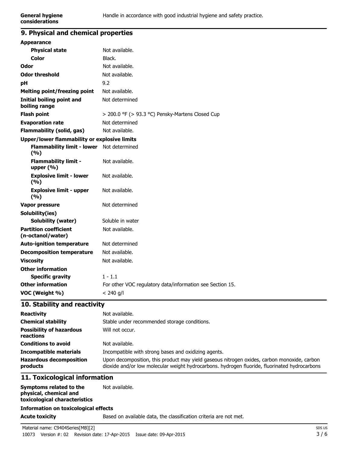## **9. Physical and chemical properties**

| <b>Appearance</b>                                 |                                                           |
|---------------------------------------------------|-----------------------------------------------------------|
| <b>Physical state</b>                             | Not available.                                            |
| Color                                             | Black.                                                    |
| Odor                                              | Not available.                                            |
| <b>Odor threshold</b>                             | Not available.                                            |
| рH                                                | 9.2                                                       |
| <b>Melting point/freezing point</b>               | Not available.                                            |
| Initial boiling point and<br>boiling range        | Not determined                                            |
| <b>Flash point</b>                                | > 200.0 °F (> 93.3 °C) Pensky-Martens Closed Cup          |
| <b>Evaporation rate</b>                           | Not determined                                            |
| <b>Flammability (solid, gas)</b>                  | Not available.                                            |
| Upper/lower flammability or explosive limits      |                                                           |
| <b>Flammability limit - lower</b><br>(9/6)        | Not determined                                            |
| <b>Flammability limit -</b><br>upper $(% )$       | Not available.                                            |
| <b>Explosive limit - lower</b><br>(9/6)           | Not available.                                            |
| <b>Explosive limit - upper</b><br>(9/6)           | Not available.                                            |
| <b>Vapor pressure</b>                             | Not determined                                            |
| Solubility(ies)                                   |                                                           |
| <b>Solubility (water)</b>                         | Soluble in water                                          |
| <b>Partition coefficient</b><br>(n-octanol/water) | Not available.                                            |
| <b>Auto-ignition temperature</b>                  | Not determined                                            |
| <b>Decomposition temperature</b>                  | Not available.                                            |
| <b>Viscosity</b>                                  | Not available.                                            |
| <b>Other information</b>                          |                                                           |
| <b>Specific gravity</b>                           | $1 - 1.1$                                                 |
| <b>Other information</b>                          | For other VOC regulatory data/information see Section 15. |
| VOC (Weight %)                                    | $< 240$ g/l                                               |

#### **10. Stability and reactivity**

| <b>Reactivity</b>                            | Not available.                                                                                                                                                                               |
|----------------------------------------------|----------------------------------------------------------------------------------------------------------------------------------------------------------------------------------------------|
| <b>Chemical stability</b>                    | Stable under recommended storage conditions.                                                                                                                                                 |
| <b>Possibility of hazardous</b><br>reactions | Will not occur.                                                                                                                                                                              |
| <b>Conditions to avoid</b>                   | Not available.                                                                                                                                                                               |
| <b>Incompatible materials</b>                | Incompatible with strong bases and oxidizing agents.                                                                                                                                         |
| <b>Hazardous decomposition</b><br>products   | Upon decomposition, this product may yield gaseous nitrogen oxides, carbon monoxide, carbon<br>dioxide and/or low molecular weight hydrocarbons. hydrogen fluoride, fluorinated hydrocarbons |

#### **11. Toxicological information**

| Symptoms related to the<br>physical, chemical and<br>toxicological characteristics | Not available. |
|------------------------------------------------------------------------------------|----------------|
| <b>Information on toxicological effects</b>                                        |                |

**Acute toxicity** Based on available data, the classification criteria are not met.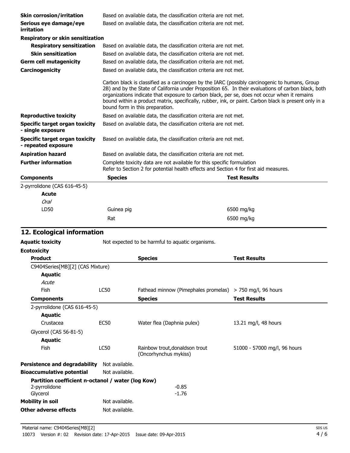| <b>Skin corrosion/irritation</b>                      |                | Based on available data, the classification criteria are not met.                                                                                                                                                                                                                                                                                                                                                                                 |                              |
|-------------------------------------------------------|----------------|---------------------------------------------------------------------------------------------------------------------------------------------------------------------------------------------------------------------------------------------------------------------------------------------------------------------------------------------------------------------------------------------------------------------------------------------------|------------------------------|
| Serious eye damage/eye<br>irritation                  |                | Based on available data, the classification criteria are not met.                                                                                                                                                                                                                                                                                                                                                                                 |                              |
| Respiratory or skin sensitization                     |                |                                                                                                                                                                                                                                                                                                                                                                                                                                                   |                              |
| <b>Respiratory sensitization</b>                      |                | Based on available data, the classification criteria are not met.                                                                                                                                                                                                                                                                                                                                                                                 |                              |
| <b>Skin sensitization</b>                             |                | Based on available data, the classification criteria are not met.                                                                                                                                                                                                                                                                                                                                                                                 |                              |
| <b>Germ cell mutagenicity</b>                         |                | Based on available data, the classification criteria are not met.                                                                                                                                                                                                                                                                                                                                                                                 |                              |
| Carcinogenicity                                       |                | Based on available data, the classification criteria are not met.                                                                                                                                                                                                                                                                                                                                                                                 |                              |
|                                                       |                | Carbon black is classified as a carcinogen by the IARC (possibly carcinogenic to humans, Group<br>2B) and by the State of California under Proposition 65. In their evaluations of carbon black, both<br>organizations indicate that exposure to carbon black, per se, does not occur when it remains<br>bound within a product matrix, specifically, rubber, ink, or paint. Carbon black is present only in a<br>bound form in this preparation. |                              |
| <b>Reproductive toxicity</b>                          |                | Based on available data, the classification criteria are not met.                                                                                                                                                                                                                                                                                                                                                                                 |                              |
| Specific target organ toxicity<br>- single exposure   |                | Based on available data, the classification criteria are not met.                                                                                                                                                                                                                                                                                                                                                                                 |                              |
| Specific target organ toxicity<br>- repeated exposure |                | Based on available data, the classification criteria are not met.                                                                                                                                                                                                                                                                                                                                                                                 |                              |
| <b>Aspiration hazard</b>                              |                | Based on available data, the classification criteria are not met.                                                                                                                                                                                                                                                                                                                                                                                 |                              |
| <b>Further information</b>                            |                | Complete toxicity data are not available for this specific formulation<br>Refer to Section 2 for potential health effects and Section 4 for first aid measures.                                                                                                                                                                                                                                                                                   |                              |
| <b>Components</b>                                     | <b>Species</b> |                                                                                                                                                                                                                                                                                                                                                                                                                                                   | <b>Test Results</b>          |
| 2-pyrrolidone (CAS 616-45-5)                          |                |                                                                                                                                                                                                                                                                                                                                                                                                                                                   |                              |
| <b>Acute</b>                                          |                |                                                                                                                                                                                                                                                                                                                                                                                                                                                   |                              |
| Oral                                                  |                |                                                                                                                                                                                                                                                                                                                                                                                                                                                   |                              |
| LD50                                                  | Guinea pig     |                                                                                                                                                                                                                                                                                                                                                                                                                                                   | 6500 mg/kg                   |
|                                                       | Rat            |                                                                                                                                                                                                                                                                                                                                                                                                                                                   | 6500 mg/kg                   |
|                                                       |                |                                                                                                                                                                                                                                                                                                                                                                                                                                                   |                              |
| 12. Ecological information                            |                |                                                                                                                                                                                                                                                                                                                                                                                                                                                   |                              |
| <b>Aquatic toxicity</b>                               |                | Not expected to be harmful to aquatic organisms.                                                                                                                                                                                                                                                                                                                                                                                                  |                              |
| <b>Ecotoxicity</b>                                    |                |                                                                                                                                                                                                                                                                                                                                                                                                                                                   |                              |
| Product                                               |                | <b>Species</b>                                                                                                                                                                                                                                                                                                                                                                                                                                    | <b>Test Results</b>          |
| C9404Series[MB][2] (CAS Mixture)                      |                |                                                                                                                                                                                                                                                                                                                                                                                                                                                   |                              |
| <b>Aquatic</b>                                        |                |                                                                                                                                                                                                                                                                                                                                                                                                                                                   |                              |
| Acute                                                 |                |                                                                                                                                                                                                                                                                                                                                                                                                                                                   |                              |
| Fish                                                  | <b>LC50</b>    | Fathead minnow (Pimephales promelas)                                                                                                                                                                                                                                                                                                                                                                                                              | > 750 mg/l, 96 hours         |
| <b>Components</b>                                     |                | <b>Species</b>                                                                                                                                                                                                                                                                                                                                                                                                                                    | <b>Test Results</b>          |
| 2-pyrrolidone (CAS 616-45-5)                          |                |                                                                                                                                                                                                                                                                                                                                                                                                                                                   |                              |
| <b>Aquatic</b><br>Crustacea                           | <b>EC50</b>    |                                                                                                                                                                                                                                                                                                                                                                                                                                                   |                              |
|                                                       |                | Water flea (Daphnia pulex)                                                                                                                                                                                                                                                                                                                                                                                                                        | 13.21 mg/l, 48 hours         |
| Glycerol (CAS 56-81-5)                                |                |                                                                                                                                                                                                                                                                                                                                                                                                                                                   |                              |
| <b>Aquatic</b>                                        |                |                                                                                                                                                                                                                                                                                                                                                                                                                                                   |                              |
| Fish                                                  | LC50           | Rainbow trout, donaldson trout<br>(Oncorhynchus mykiss)                                                                                                                                                                                                                                                                                                                                                                                           | 51000 - 57000 mg/l, 96 hours |
| <b>Persistence and degradability</b>                  | Not available. |                                                                                                                                                                                                                                                                                                                                                                                                                                                   |                              |
| <b>Bioaccumulative potential</b>                      | Not available. |                                                                                                                                                                                                                                                                                                                                                                                                                                                   |                              |
| Partition coefficient n-octanol / water (log Kow)     |                |                                                                                                                                                                                                                                                                                                                                                                                                                                                   |                              |
| 2-pyrrolidone                                         |                | $-0.85$                                                                                                                                                                                                                                                                                                                                                                                                                                           |                              |
| Glycerol<br><b>Mobility in soil</b>                   | Not available. | $-1.76$                                                                                                                                                                                                                                                                                                                                                                                                                                           |                              |
| <b>Other adverse effects</b>                          | Not available. |                                                                                                                                                                                                                                                                                                                                                                                                                                                   |                              |
|                                                       |                |                                                                                                                                                                                                                                                                                                                                                                                                                                                   |                              |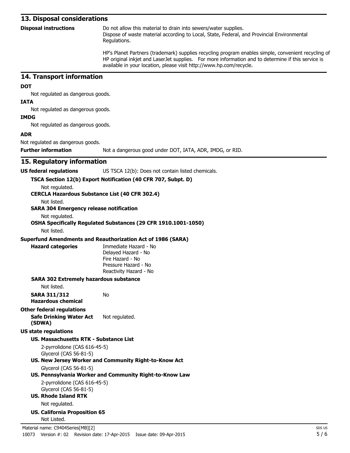#### **13. Disposal considerations**

| <b>Disposal instructions</b> | Do not allow this material to drain into sewers/water supplies.                                            |
|------------------------------|------------------------------------------------------------------------------------------------------------|
|                              | Dispose of waste material according to Local, State, Federal, and Provincial Environmental<br>Regulations. |
|                              | LID's Dlanet Dartners (trademark) supplies requeling presence englishes simple convenient re               |

HP's Planet Partners (trademark) supplies recycling program enables simple, convenient recycling of HP original inkjet and LaserJet supplies. For more information and to determine if this service is available in your location, please visit http://www.hp.com/recycle.

#### **14. Transport information**

#### **DOT**

Not regulated as dangerous goods.

#### **IATA**

Not regulated as dangerous goods.

#### **IMDG**

Not regulated as dangerous goods.

#### **ADR**

Not regulated as dangerous goods.

**Further information** Not a dangerous good under DOT, IATA, ADR, IMDG, or RID.

#### **15. Regulatory information**

**US federal regulations** US TSCA 12(b): Does not contain listed chemicals.

#### **TSCA Section 12(b) Export Notification (40 CFR 707, Subpt. D)**

Not regulated.

#### **CERCLA Hazardous Substance List (40 CFR 302.4)**

Not listed.

#### **SARA 304 Emergency release notification**

Not regulated.

#### **OSHA Specifically Regulated Substances (29 CFR 1910.1001-1050)**

Not listed.

#### **Superfund Amendments and Reauthorization Act of 1986 (SARA)**

No

| lazard categorie |  |
|------------------|--|

**Hazard categories** Immediate Hazard - No Delayed Hazard - No Fire Hazard - No Pressure Hazard - No Reactivity Hazard - No

#### **SARA 302 Extremely hazardous substance**

Not listed.

**SARA 311/312 Hazardous chemical**

#### **Other federal regulations**

#### **Safe Drinking Water Act (SDWA)** Not regulated.

**US state regulations**

#### **US. Massachusetts RTK - Substance List**

2-pyrrolidone (CAS 616-45-5) Glycerol (CAS 56-81-5)

#### **US. New Jersey Worker and Community Right-to-Know Act**

Glycerol (CAS 56-81-5)

#### **US. Pennsylvania Worker and Community Right-to-Know Law**

2-pyrrolidone (CAS 616-45-5) Glycerol (CAS 56-81-5)

**US. Rhode Island RTK**

Not regulated.

**US. California Proposition 65** Not Listed.